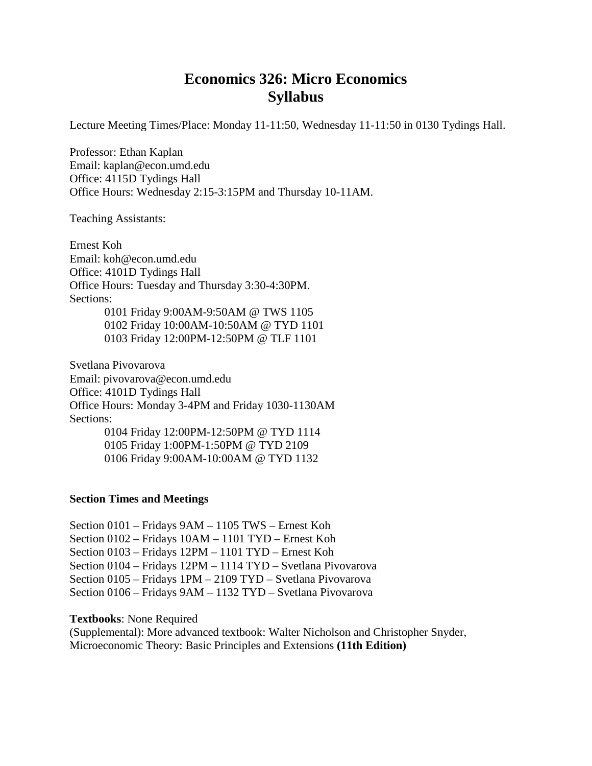# **Economics 326: Micro Economics Syllabus**

Lecture Meeting Times/Place: Monday 11-11:50, Wednesday 11-11:50 in 0130 Tydings Hall.

Professor: Ethan Kaplan Email: kaplan@econ.umd.edu Office: 4115D Tydings Hall Office Hours: Wednesday 2:15-3:15PM and Thursday 10-11AM.

Teaching Assistants:

Ernest Koh Email: koh@econ.umd.edu Office: 4101D Tydings Hall Office Hours: Tuesday and Thursday 3:30-4:30PM. Sections: 0101 Friday 9:00AM-9:50AM @ TWS 1105 0102 Friday 10:00AM-10:50AM @ TYD 1101

0103 Friday 12:00PM-12:50PM @ TLF 1101

Svetlana Pivovarova Email: pivovarova@econ.umd.edu Office: 4101D Tydings Hall Office Hours: Monday 3-4PM and Friday 1030-1130AM Sections: 0104 Friday 12:00PM-12:50PM @ TYD 1114 0105 Friday 1:00PM-1:50PM @ TYD 2109

0106 Friday 9:00AM-10:00AM @ TYD 1132

### **Section Times and Meetings**

Section 0101 – Fridays 9AM – 1105 TWS – Ernest Koh Section 0102 – Fridays 10AM – 1101 TYD – Ernest Koh Section 0103 – Fridays 12PM – 1101 TYD – Ernest Koh Section 0104 – Fridays 12PM – 1114 TYD – Svetlana Pivovarova Section 0105 – Fridays 1PM – 2109 TYD – Svetlana Pivovarova Section 0106 – Fridays 9AM – 1132 TYD – Svetlana Pivovarova

**Textbooks**: None Required

(Supplemental): More advanced textbook: Walter Nicholson and Christopher Snyder, Microeconomic Theory: Basic Principles and Extensions **(11th Edition)**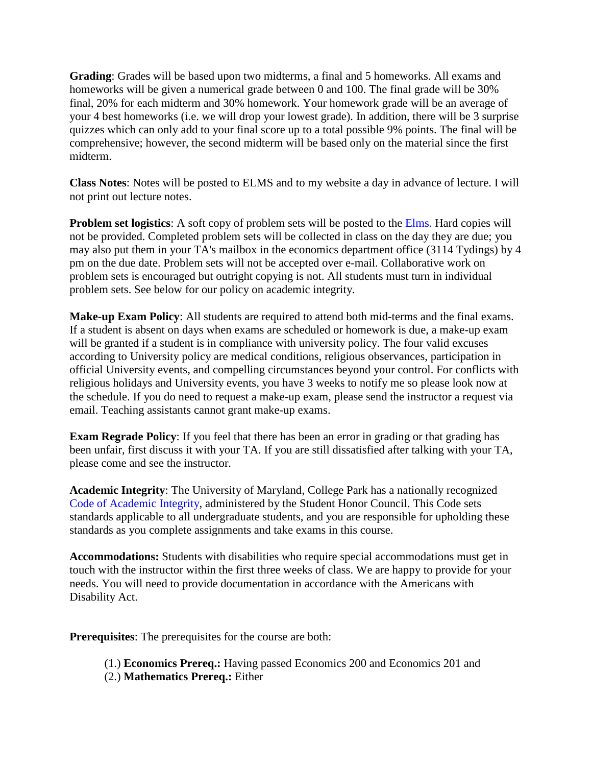**Grading**: Grades will be based upon two midterms, a final and 5 homeworks. All exams and homeworks will be given a numerical grade between 0 and 100. The final grade will be 30% final, 20% for each midterm and 30% homework. Your homework grade will be an average of your 4 best homeworks (i.e. we will drop your lowest grade). In addition, there will be 3 surprise quizzes which can only add to your final score up to a total possible 9% points. The final will be comprehensive; however, the second midterm will be based only on the material since the first midterm.

**Class Notes**: Notes will be posted to ELMS and to my website a day in advance of lecture. I will not print out lecture notes.

**Problem set logistics**: A soft copy of problem sets will be posted to the Elms. Hard copies will not be provided. Completed problem sets will be collected in class on the day they are due; you may also put them in your TA's mailbox in the economics department office (3114 Tydings) by 4 pm on the due date. Problem sets will not be accepted over e-mail. Collaborative work on problem sets is encouraged but outright copying is not. All students must turn in individual problem sets. See below for our policy on academic integrity.

**Make-up Exam Policy**: All students are required to attend both mid-terms and the final exams. If a student is absent on days when exams are scheduled or homework is due, a make-up exam will be granted if a student is in compliance with university policy. The four valid excuses according to University policy are medical conditions, religious observances, participation in official University events, and compelling circumstances beyond your control. For conflicts with religious holidays and University events, you have 3 weeks to notify me so please look now at the schedule. If you do need to request a make-up exam, please send the instructor a request via email. Teaching assistants cannot grant make-up exams.

**Exam Regrade Policy**: If you feel that there has been an error in grading or that grading has been unfair, first discuss it with your TA. If you are still dissatisfied after talking with your TA, please come and see the instructor.

**Academic Integrity**: The University of Maryland, College Park has a nationally recognized Code of Academic Integrity, administered by the Student Honor Council. This Code sets standards applicable to all undergraduate students, and you are responsible for upholding these standards as you complete assignments and take exams in this course.

**Accommodations:** Students with disabilities who require special accommodations must get in touch with the instructor within the first three weeks of class. We are happy to provide for your needs. You will need to provide documentation in accordance with the Americans with Disability Act.

**Prerequisites**: The prerequisites for the course are both:

(1.) **Economics Prereq.:** Having passed Economics 200 and Economics 201 and (2.) **Mathematics Prereq.:** Either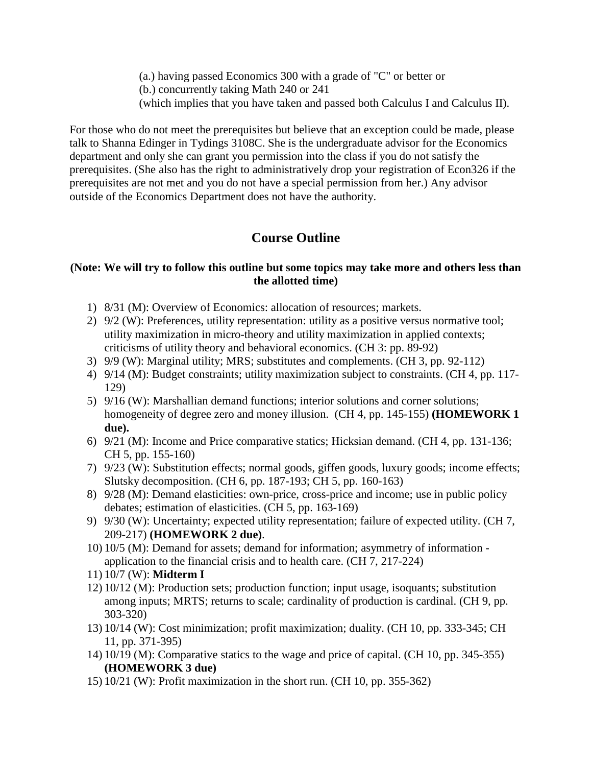- (a.) having passed Economics 300 with a grade of "C" or better or
- (b.) concurrently taking Math 240 or 241
- (which implies that you have taken and passed both Calculus I and Calculus II).

For those who do not meet the prerequisites but believe that an exception could be made, please talk to Shanna Edinger in Tydings 3108C. She is the undergraduate advisor for the Economics department and only she can grant you permission into the class if you do not satisfy the prerequisites. (She also has the right to administratively drop your registration of Econ326 if the prerequisites are not met and you do not have a special permission from her.) Any advisor outside of the Economics Department does not have the authority.

## **Course Outline**

### **(Note: We will try to follow this outline but some topics may take more and others less than the allotted time)**

- 1) 8/31 (M): Overview of Economics: allocation of resources; markets.
- 2) 9/2 (W): Preferences, utility representation: utility as a positive versus normative tool; utility maximization in micro-theory and utility maximization in applied contexts; criticisms of utility theory and behavioral economics. (CH 3: pp. 89-92)
- 3) 9/9 (W): Marginal utility; MRS; substitutes and complements. (CH 3, pp. 92-112)
- 4) 9/14 (M): Budget constraints; utility maximization subject to constraints. (CH 4, pp. 117- 129)
- 5) 9/16 (W): Marshallian demand functions; interior solutions and corner solutions; homogeneity of degree zero and money illusion. (CH 4, pp. 145-155) **(HOMEWORK 1 due).**
- 6) 9/21 (M): Income and Price comparative statics; Hicksian demand. (CH 4, pp. 131-136; CH 5, pp. 155-160)
- 7) 9/23 (W): Substitution effects; normal goods, giffen goods, luxury goods; income effects; Slutsky decomposition. (CH 6, pp. 187-193; CH 5, pp. 160-163)
- 8) 9/28 (M): Demand elasticities: own-price, cross-price and income; use in public policy debates; estimation of elasticities. (CH 5, pp. 163-169)
- 9) 9/30 (W): Uncertainty; expected utility representation; failure of expected utility. (CH 7, 209-217) **(HOMEWORK 2 due)**.
- 10) 10/5 (M): Demand for assets; demand for information; asymmetry of information application to the financial crisis and to health care. (CH 7, 217-224)
- 11) 10/7 (W): **Midterm I**
- 12) 10/12 (M): Production sets; production function; input usage, isoquants; substitution among inputs; MRTS; returns to scale; cardinality of production is cardinal. (CH 9, pp. 303-320)
- 13) 10/14 (W): Cost minimization; profit maximization; duality. (CH 10, pp. 333-345; CH 11, pp. 371-395)
- 14) 10/19 (M): Comparative statics to the wage and price of capital. (CH 10, pp. 345-355) **(HOMEWORK 3 due)**
- 15) 10/21 (W): Profit maximization in the short run. (CH 10, pp. 355-362)